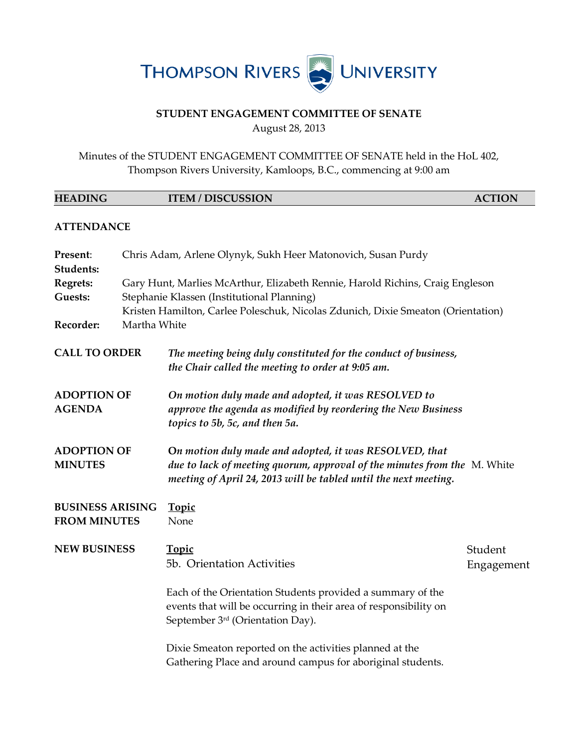

## **STUDENT ENGAGEMENT COMMITTEE OF SENATE** August 28, 2013

Minutes of the STUDENT ENGAGEMENT COMMITTEE OF SENATE held in the HoL 402, Thompson Rivers University, Kamloops, B.C., commencing at 9:00 am

| <b>HEADING</b>                                 |              | <b>ITEM / DISCUSSION</b>                                                                                                                                                                               | <b>ACTION</b> |  |  |
|------------------------------------------------|--------------|--------------------------------------------------------------------------------------------------------------------------------------------------------------------------------------------------------|---------------|--|--|
| <b>ATTENDANCE</b>                              |              |                                                                                                                                                                                                        |               |  |  |
| Present:<br><b>Students:</b>                   |              | Chris Adam, Arlene Olynyk, Sukh Heer Matonovich, Susan Purdy                                                                                                                                           |               |  |  |
| <b>Regrets:</b>                                |              | Gary Hunt, Marlies McArthur, Elizabeth Rennie, Harold Richins, Craig Engleson                                                                                                                          |               |  |  |
| <b>Guests:</b>                                 |              | Stephanie Klassen (Institutional Planning)                                                                                                                                                             |               |  |  |
|                                                |              | Kristen Hamilton, Carlee Poleschuk, Nicolas Zdunich, Dixie Smeaton (Orientation)                                                                                                                       |               |  |  |
| Recorder:                                      | Martha White |                                                                                                                                                                                                        |               |  |  |
| <b>CALL TO ORDER</b>                           |              | The meeting being duly constituted for the conduct of business,<br>the Chair called the meeting to order at 9:05 am.                                                                                   |               |  |  |
| <b>ADOPTION OF</b><br><b>AGENDA</b>            |              | On motion duly made and adopted, it was RESOLVED to<br>approve the agenda as modified by reordering the New Business<br>topics to 5b, 5c, and then 5a.                                                 |               |  |  |
| <b>ADOPTION OF</b><br><b>MINUTES</b>           |              | On motion duly made and adopted, it was RESOLVED, that<br>due to lack of meeting quorum, approval of the minutes from the M. White<br>meeting of April 24, 2013 will be tabled until the next meeting. |               |  |  |
| <b>BUSINESS ARISING</b><br><b>FROM MINUTES</b> |              | <b>Topic</b><br>None                                                                                                                                                                                   |               |  |  |
| <b>NEW BUSINESS</b>                            |              | <b>Topic</b>                                                                                                                                                                                           | Student       |  |  |
|                                                |              | 5b. Orientation Activities                                                                                                                                                                             | Engagement    |  |  |
|                                                |              | Each of the Orientation Students provided a summary of the<br>events that will be occurring in their area of responsibility on<br>September 3 <sup>rd</sup> (Orientation Day).                         |               |  |  |
|                                                |              | Dixie Smeaton reported on the activities planned at the<br>Gathering Place and around campus for aboriginal students.                                                                                  |               |  |  |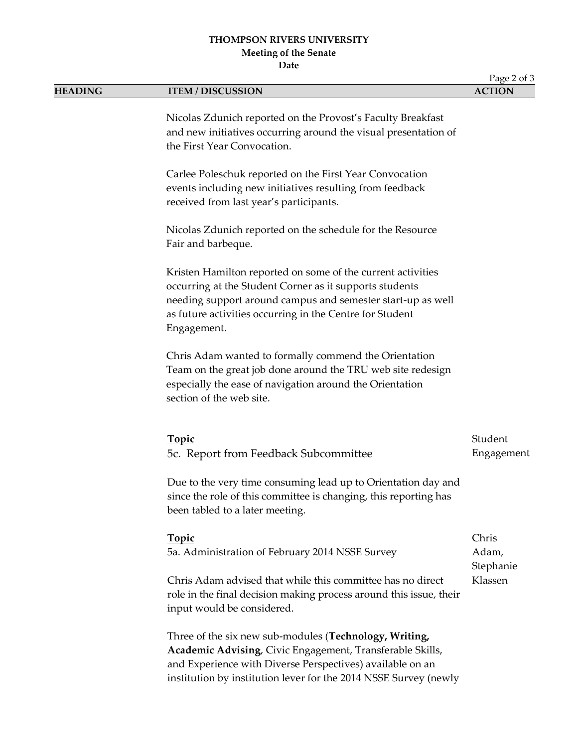## **THOMPSON RIVERS UNIVERSITY Meeting of the Senate Date**

Page 2 of 3 **HEADING ITEM / DISCUSSION ACTION** Nicolas Zdunich reported on the Provost's Faculty Breakfast and new initiatives occurring around the visual presentation of the First Year Convocation. Carlee Poleschuk reported on the First Year Convocation events including new initiatives resulting from feedback received from last year's participants. Nicolas Zdunich reported on the schedule for the Resource Fair and barbeque. Kristen Hamilton reported on some of the current activities occurring at the Student Corner as it supports students needing support around campus and semester start-up as well as future activities occurring in the Centre for Student Engagement. Chris Adam wanted to formally commend the Orientation Team on the great job done around the TRU web site redesign especially the ease of navigation around the Orientation section of the web site. **Topic** 5c. Report from Feedback Subcommittee Due to the very time consuming lead up to Orientation day and since the role of this committee is changing, this reporting has been tabled to a later meeting. Student Engagement **Topic** 5a. Administration of February 2014 NSSE Survey Chris Adam advised that while this committee has no direct role in the final decision making process around this issue, their input would be considered. Three of the six new sub-modules (**Technology, Writing, Academic Advising**, Civic Engagement, Transferable Skills, and Experience with Diverse Perspectives) available on an institution by institution lever for the 2014 NSSE Survey (newly Chris Adam, Stephanie Klassen